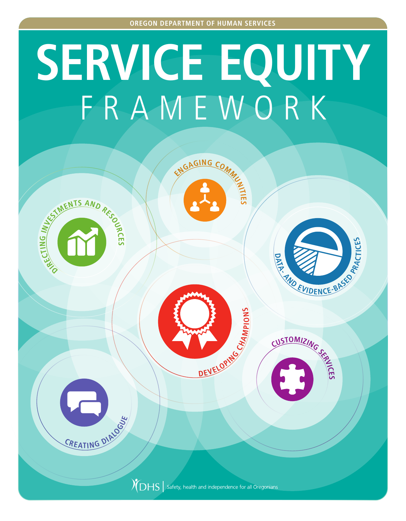# **SERVICE EQUITY** FRAMEWORK

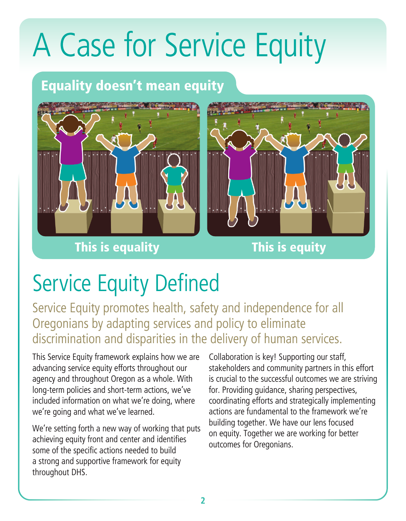### A Case for Service Equity

#### Equality doesn't mean equity







### Service Equity Defined

Service Equity promotes health, safety and independence for all Oregonians by adapting services and policy to eliminate discrimination and disparities in the delivery of human services.

This Service Equity framework explains how we are advancing service equity efforts throughout our agency and throughout Oregon as a whole. With long-term policies and short-term actions, we've included information on what we're doing, where we're going and what we've learned.

We're setting forth a new way of working that puts achieving equity front and center and identifies some of the specific actions needed to build a strong and supportive framework for equity throughout DHS.

Collaboration is key! Supporting our staff, stakeholders and community partners in this effort is crucial to the successful outcomes we are striving for. Providing guidance, sharing perspectives, coordinating efforts and strategically implementing actions are fundamental to the framework we're building together. We have our lens focused on equity. Together we are working for better outcomes for Oregonians.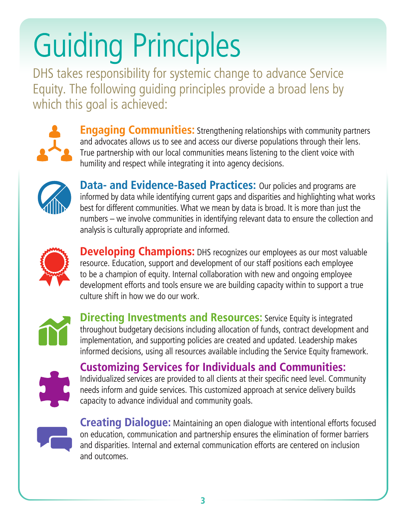## Guiding Principles

DHS takes responsibility for systemic change to advance Service Equity. The following guiding principles provide a broad lens by which this goal is achieved:



**Engaging Communities:** Strengthening relationships with community partners and advocates allows us to see and access our diverse populations through their lens. True partnership with our local communities means listening to the client voice with humility and respect while integrating it into agency decisions.



**Data- and Evidence-Based Practices:** Our policies and programs are informed by data while identifying current gaps and disparities and highlighting what works best for different communities. What we mean by data is broad. It is more than just the numbers – we involve communities in identifying relevant data to ensure the collection and analysis is culturally appropriate and informed.



**Developing Champions:** DHS recognizes our employees as our most valuable resource. Education, support and development of our staff positions each employee to be a champion of equity. Internal collaboration with new and ongoing employee development efforts and tools ensure we are building capacity within to support a true culture shift in how we do our work.



**Directing Investments and Resources:** Service Equity is integrated throughout budgetary decisions including allocation of funds, contract development and implementation, and supporting policies are created and updated. Leadership makes informed decisions, using all resources available including the Service Equity framework.



**Customizing Services for Individuals and Communities:** Individualized services are provided to all clients at their specific need level. Community needs inform and guide services. This customized approach at service delivery builds capacity to advance individual and community goals.



**Creating Dialogue:** Maintaining an open dialogue with intentional efforts focused on education, communication and partnership ensures the elimination of former barriers and disparities. Internal and external communication efforts are centered on inclusion and outcomes.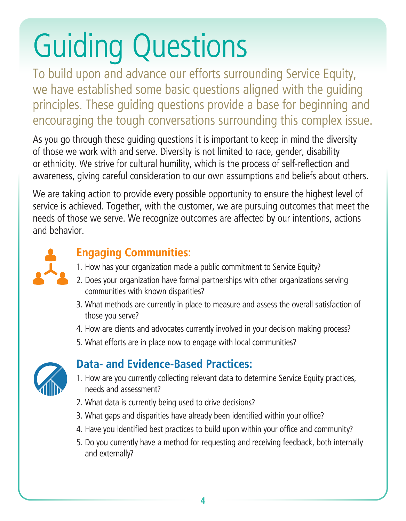## Guiding Questions

To build upon and advance our efforts surrounding Service Equity, we have established some basic questions aligned with the guiding principles. These guiding questions provide a base for beginning and encouraging the tough conversations surrounding this complex issue.

As you go through these guiding questions it is important to keep in mind the diversity of those we work with and serve. Diversity is not limited to race, gender, disability or ethnicity. We strive for cultural humility, which is the process of self-reflection and awareness, giving careful consideration to our own assumptions and beliefs about others.

We are taking action to provide every possible opportunity to ensure the highest level of service is achieved. Together, with the customer, we are pursuing outcomes that meet the needs of those we serve. We recognize outcomes are affected by our intentions, actions and behavior.



#### **Engaging Communities:**

- 1. How has your organization made a public commitment to Service Equity?
- 2. Does your organization have formal partnerships with other organizations serving communities with known disparities?
- 3. What methods are currently in place to measure and assess the overall satisfaction of those you serve?
- 4. How are clients and advocates currently involved in your decision making process?
- 5. What efforts are in place now to engage with local communities?



#### **Data- and Evidence-Based Practices:**

- 1. How are you currently collecting relevant data to determine Service Equity practices, needs and assessment?
- 2. What data is currently being used to drive decisions?
- 3. What gaps and disparities have already been identified within your office?
- 4. Have you identified best practices to build upon within your office and community?
- 5. Do you currently have a method for requesting and receiving feedback, both internally and externally?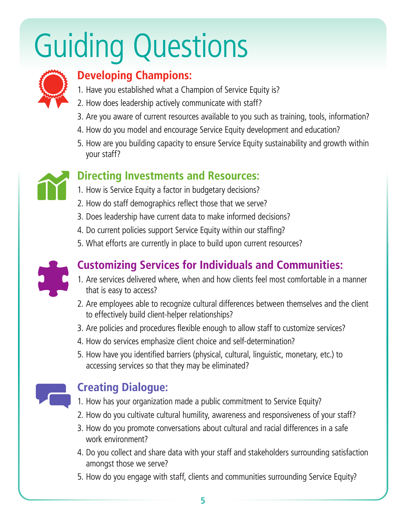### Guiding Questions



#### **Developing Champions:**

- 1. Have you established what a Champion of Service Equity is?
- 2. How does leadership actively communicate with staff?
- 3. Are you aware of current resources available to you such as training, tools, information?
- 4. How do you model and encourage Service Equity development and education?
- 5. How are you building capacity to ensure Service Equity sustainability and growth within your staff?



#### **Directing Investments and Resources:**

- 1. How is Service Equity a factor in budgetary decisions?
- 2. How do staff demographics reflect those that we serve?
- 3. Does leadership have current data to make informed decisions?
- 4. Do current policies support Service Equity within our staffing?
- 5. What efforts are currently in place to build upon current resources?



#### **Customizing Services for Individuals and Communities:**

- 1. Are services delivered where, when and how clients feel most comfortable in a manner that is easy to access?
- 2. Are employees able to recognize cultural differences between themselves and the client to effectively build client-helper relationships?
- 3. Are policies and procedures flexible enough to allow staff to customize services?
- 4. How do services emphasize client choice and self-determination?
- 5. How have you identified barriers (physical, cultural, linguistic, monetary, etc.) to accessing services so that they may be eliminated?



#### **Creating Dialogue:**

- 1. How has your organization made a public commitment to Service Equity?
- 2. How do you cultivate cultural humility, awareness and responsiveness of your staff?
- 3. How do you promote conversations about cultural and racial differences in a safe work environment?
- 4. Do you collect and share data with your staff and stakeholders surrounding satisfaction amongst those we serve?
- 5. How do you engage with staff, clients and communities surrounding Service Equity?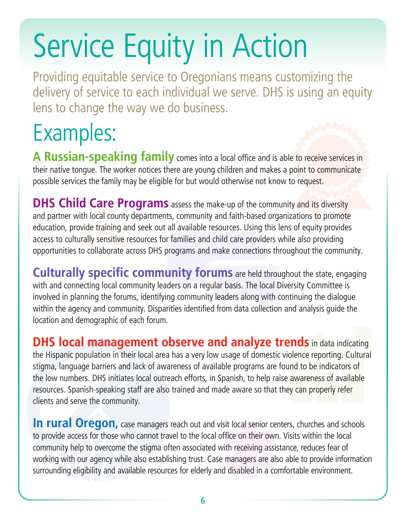### Service Equity in Action

Providing equitable service to Oregonians means customizing the delivery of service to each individual we serve. DHS is using an equity lens to change the way we do business.

### Examples:

**A Russian-speaking family** comes into a local office and is able to receive services in their native tongue. The worker notices there are young children and makes a point to communicate possible services the family may be eligible for but would otherwise not know to request.

**DHS Child Care Programs** assess the make-up of the community and its diversity and partner with local county departments, community and faith-based organizations to promote education, provide training and seek out all available resources. Using this lens of equity provides access to culturally sensitive resources for families and child care providers while also providing opportunities to collaborate across DHS programs and make connections throughout the community.

**Culturally specific community forums** are held throughout the state, engaging with and connecting local community leaders on a regular basis. The local Diversity Committee is involved in planning the forums, identifying community leaders along with continuing the dialogue within the agency and community. Disparities identified from data collection and analysis guide the location and demographic of each forum.

**DHS local management observe and analyze trends** in data indicating the Hispanic population in their local area has a very low usage of domestic violence reporting. Cultural stigma, language barriers and lack of awareness of available programs are found to be indicators of the low numbers. DHS initiates local outreach efforts, in Spanish, to help raise awareness of available resources. Spanish-speaking staff are also trained and made aware so that they can properly refer clients and serve the community.

**In rural Oregon,** case managers reach out and visit local senior centers, churches and schools to provide access for those who cannot travel to the local office on their own. Visits within the local community help to overcome the stigma often associated with receiving assistance, reduces fear of working with our agency while also establishing trust. Case managers are also able to provide information surrounding eligibility and available resources for elderly and disabled in a comfortable environment.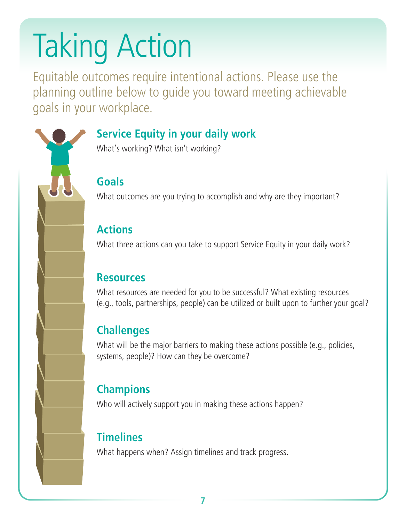## Taking Action

Equitable outcomes require intentional actions. Please use the planning outline below to guide you toward meeting achievable goals in your workplace.



#### **Service Equity in your daily work**

What's working? What isn't working?

#### **Goals**

What outcomes are you trying to accomplish and why are they important?

#### **Actions**

What three actions can you take to support Service Equity in your daily work?

#### **Resources**

What resources are needed for you to be successful? What existing resources (e.g., tools, partnerships, people) can be utilized or built upon to further your goal?

#### **Challenges**

What will be the major barriers to making these actions possible (e.g., policies, systems, people)? How can they be overcome?

#### **Champions**

Who will actively support you in making these actions happen?

#### **Timelines**

What happens when? Assign timelines and track progress.